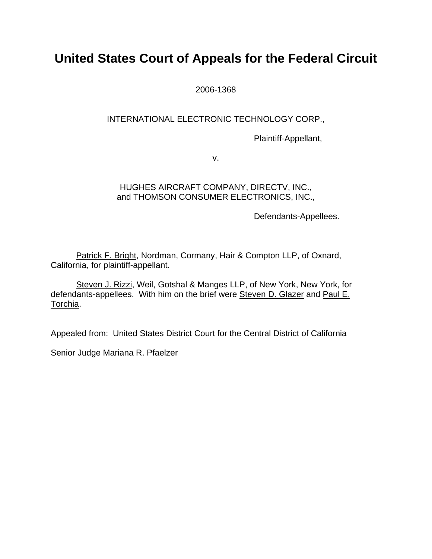# **United States Court of Appeals for the Federal Circuit**

2006-1368

## INTERNATIONAL ELECTRONIC TECHNOLOGY CORP.,

Plaintiff-Appellant,

v.

# HUGHES AIRCRAFT COMPANY, DIRECTV, INC., and THOMSON CONSUMER ELECTRONICS, INC.,

Defendants-Appellees.

Patrick F. Bright, Nordman, Cormany, Hair & Compton LLP, of Oxnard, California, for plaintiff-appellant.

Steven J. Rizzi, Weil, Gotshal & Manges LLP, of New York, New York, for defendants-appellees. With him on the brief were Steven D. Glazer and Paul E. Torchia.

Appealed from: United States District Court for the Central District of California

Senior Judge Mariana R. Pfaelzer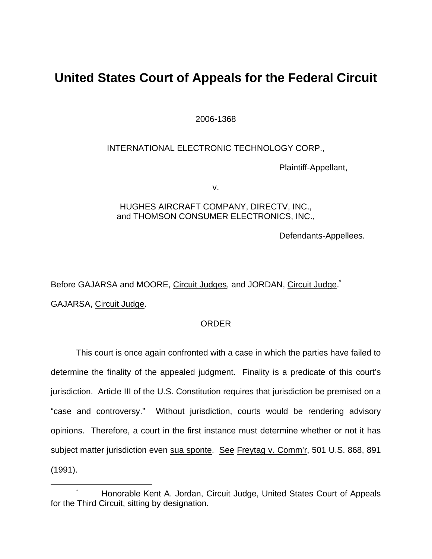# **United States Court of Appeals for the Federal Circuit**

2006-1368

INTERNATIONAL ELECTRONIC TECHNOLOGY CORP.,

Plaintiff-Appellant,

v.

#### HUGHES AIRCRAFT COMPANY, DIRECTV, INC., and THOMSON CONSUMER ELECTRONICS, INC.,

Defendants-Appellees.

Before GAJARSA and MOORE, Circuit Judges, and JORDAN, Circuit Judge.<sup>[\\*](#page-1-0)</sup>

GAJARSA, Circuit Judge.

## ORDER

 This court is once again confronted with a case in which the parties have failed to determine the finality of the appealed judgment. Finality is a predicate of this court's jurisdiction. Article III of the U.S. Constitution requires that jurisdiction be premised on a "case and controversy." Without jurisdiction, courts would be rendering advisory opinions. Therefore, a court in the first instance must determine whether or not it has subject matter jurisdiction even sua sponte. See Freytag v. Comm'r, 501 U.S. 868, 891 (1991).

<span id="page-1-0"></span> <sup>\*</sup> Honorable Kent A. Jordan, Circuit Judge, United States Court of Appeals for the Third Circuit, sitting by designation.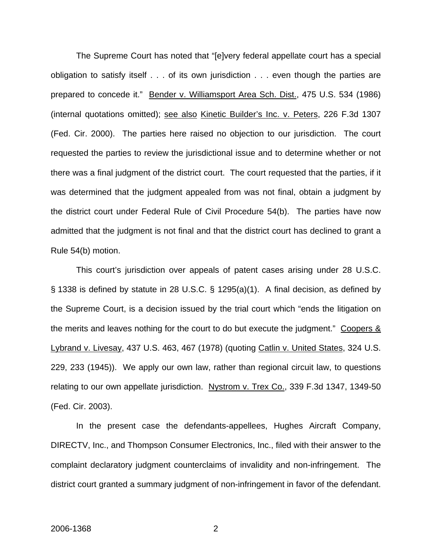The Supreme Court has noted that "[e]very federal appellate court has a special obligation to satisfy itself . . . of its own jurisdiction . . . even though the parties are prepared to concede it." Bender v. Williamsport Area Sch. Dist., 475 U.S. 534 (1986) (internal quotations omitted); see also Kinetic Builder's Inc. v. Peters, 226 F.3d 1307 (Fed. Cir. 2000). The parties here raised no objection to our jurisdiction. The court requested the parties to review the jurisdictional issue and to determine whether or not there was a final judgment of the district court. The court requested that the parties, if it was determined that the judgment appealed from was not final, obtain a judgment by the district court under Federal Rule of Civil Procedure 54(b). The parties have now admitted that the judgment is not final and that the district court has declined to grant a Rule 54(b) motion.

This court's jurisdiction over appeals of patent cases arising under 28 U.S.C. § 1338 is defined by statute in 28 U.S.C. § 1295(a)(1). A final decision, as defined by the Supreme Court, is a decision issued by the trial court which "ends the litigation on the merits and leaves nothing for the court to do but execute the judgment." Coopers  $\&$ Lybrand v. Livesay, 437 U.S. 463, 467 (1978) (quoting Catlin v. United States, 324 U.S. 229, 233 (1945)). We apply our own law, rather than regional circuit law, to questions relating to our own appellate jurisdiction. Nystrom v. Trex Co., 339 F.3d 1347, 1349-50 (Fed. Cir. 2003).

In the present case the defendants-appellees, Hughes Aircraft Company, DIRECTV, Inc., and Thompson Consumer Electronics, Inc., filed with their answer to the complaint declaratory judgment counterclaims of invalidity and non-infringement. The district court granted a summary judgment of non-infringement in favor of the defendant.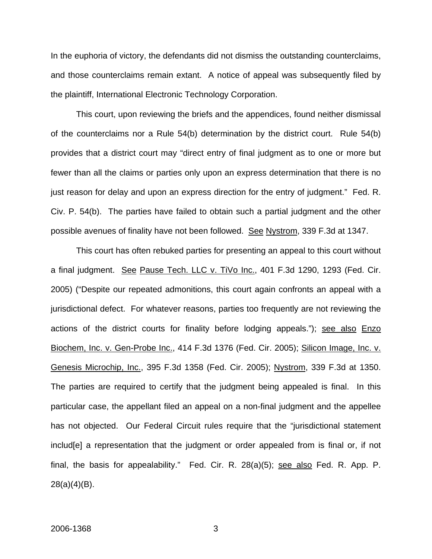In the euphoria of victory, the defendants did not dismiss the outstanding counterclaims, and those counterclaims remain extant. A notice of appeal was subsequently filed by the plaintiff, International Electronic Technology Corporation.

This court, upon reviewing the briefs and the appendices, found neither dismissal of the counterclaims nor a Rule 54(b) determination by the district court. Rule 54(b) provides that a district court may "direct entry of final judgment as to one or more but fewer than all the claims or parties only upon an express determination that there is no just reason for delay and upon an express direction for the entry of judgment." Fed. R. Civ. P. 54(b). The parties have failed to obtain such a partial judgment and the other possible avenues of finality have not been followed. See Nystrom, 339 F.3d at 1347.

This court has often rebuked parties for presenting an appeal to this court without a final judgment. See Pause Tech. LLC v. TiVo Inc., 401 F.3d 1290, 1293 (Fed. Cir. 2005) ("Despite our repeated admonitions, this court again confronts an appeal with a jurisdictional defect. For whatever reasons, parties too frequently are not reviewing the actions of the district courts for finality before lodging appeals."); see also Enzo Biochem, Inc. v. Gen-Probe Inc., 414 F.3d 1376 (Fed. Cir. 2005); Silicon Image, Inc. v. Genesis Microchip, Inc., 395 F.3d 1358 (Fed. Cir. 2005); Nystrom, 339 F.3d at 1350. The parties are required to certify that the judgment being appealed is final. In this particular case, the appellant filed an appeal on a non-final judgment and the appellee has not objected. Our Federal Circuit rules require that the "jurisdictional statement includ[e] a representation that the judgment or order appealed from is final or, if not final, the basis for appealability." Fed. Cir. R.  $28(a)(5)$ ; see also Fed. R. App. P. 28(a)(4)(B).